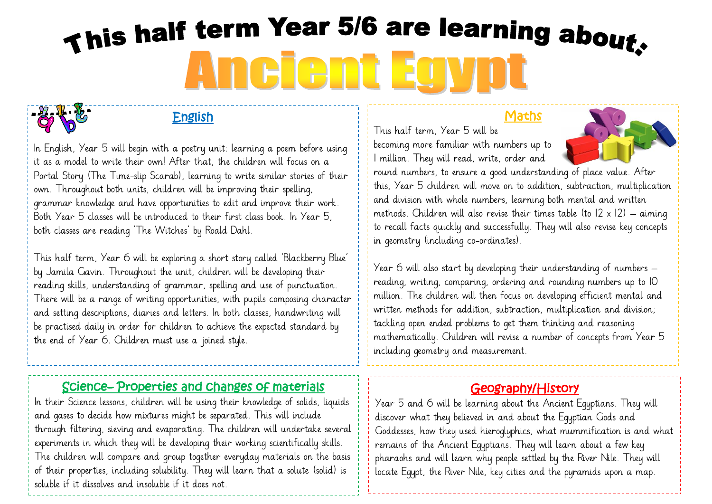# This half term Year 5/6 are learning about. Ancient Egyp

#### English

In English, Year 5 will begin with a poetry unit: learning a poem before using it as a model to write their own! After that, the children will focus on a Portal Story (The Time-slip Scarab), learning to write similar stories of their own. Throughout both units, children will be improving their spelling, grammar knowledge and have opportunities to edit and improve their work. Both Year 5 classes will be introduced to their first class book. In Year 5, both classes are reading 'The Witches' by Roald Dahl.

This half term, Year 6 will be exploring a short story called 'Blackberry Blue' by Jamila Gavin. Throughout the unit, children will be developing their reading skills, understanding of grammar, spelling and use of punctuation. There will be a range of writing opportunities, with pupils composing character and setting descriptions, diaries and letters. In both classes, handwriting will be practised daily in order for children to achieve the expected standard by the end of Year 6. Children must use a joined style.

#### Science– Properties and changes of materials

In their Science lessons, children will be using their knowledge of solids, liquids and gases to decide how mixtures might be separated. This will include through filtering, sieving and evaporating. The children will undertake several experiments in which they will be developing their working scientifically skills. The children will compare and group together everyday materials on the basis of their properties, including solubility. They will learn that a solute (solid) is soluble if it dissolves and insoluble if it does not.

#### **Maths**

This half term, Year 5 will be becoming more familiar with numbers up to 1 million. They will read, write, order and



round numbers, to ensure a good understanding of place value. After this, Year 5 children will move on to addition, subtraction, multiplication and division with whole numbers, learning both mental and written methods. Children will also revise their times table (to  $12 \times 12$ ) – aiming to recall facts quickly and successfully. They will also revise key concepts in geometry (including co-ordinates).

Year 6 will also start by developing their understanding of numbers – reading, writing, comparing, ordering and rounding numbers up to 10 million. The children will then focus on developing efficient mental and written methods for addition, subtraction, multiplication and division; tackling open ended problems to get them thinking and reasoning mathematically. Children will revise a number of concepts from Year 5 including geometry and measurement.

# Geography/History

Year 5 and 6 will be learning about the Ancient Egyptians. They will discover what they believed in and about the Egyptian Gods and Goddesses, how they used hieroglyphics, what mummification is and what remains of the Ancient Egyptians. They will learn about a few key pharaohs and will learn why people settled by the River Nile. They will locate Egypt, the River Nile, key cities and the pyramids upon a map.